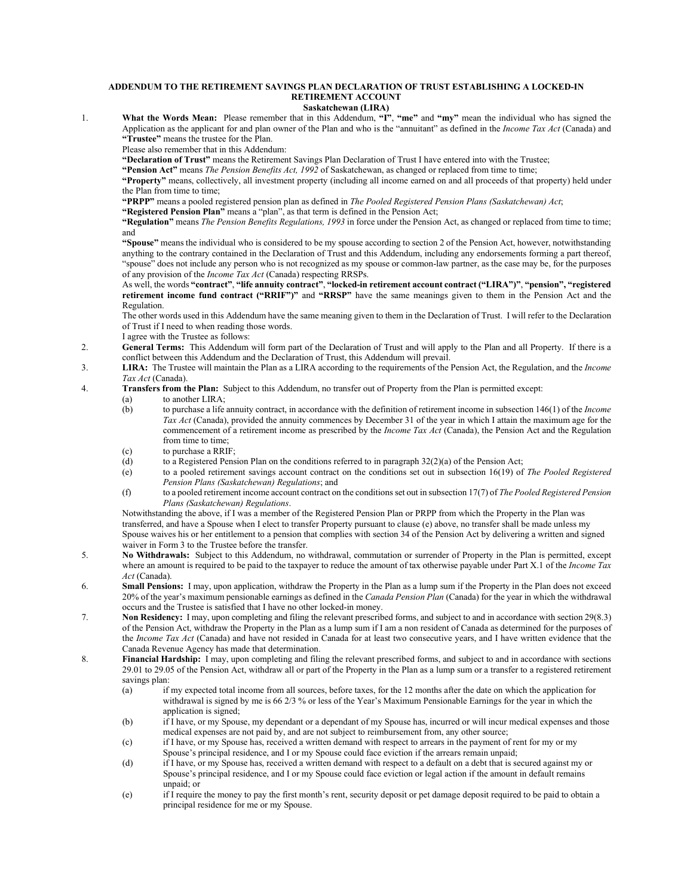## **ADDENDUM TO THE RETIREMENT SAVINGS PLAN DECLARATION OF TRUST ESTABLISHING A LOCKED-IN RETIREMENT ACCOUNT**

## **Saskatchewan (LIRA)**

1. **What the Words Mean:** Please remember that in this Addendum, **"I"**, **"me"** and **"my"** mean the individual who has signed the Application as the applicant for and plan owner of the Plan and who is the "annuitant" as defined in the *Income Tax Act* (Canada) and **"Trustee"** means the trustee for the Plan.

Please also remember that in this Addendum:

**"Declaration of Trust"** means the Retirement Savings Plan Declaration of Trust I have entered into with the Trustee;

**"Pension Act"** means *The Pension Benefits Act, 1992* of Saskatchewan, as changed or replaced from time to time;

**"Property"** means, collectively, all investment property (including all income earned on and all proceeds of that property) held under the Plan from time to time;

**"PRPP"** means a pooled registered pension plan as defined in *The Pooled Registered Pension Plans (Saskatchewan) Act*;

**"Registered Pension Plan"** means a "plan", as that term is defined in the Pension Act;

**"Regulation"** means *The Pension Benefits Regulations, 1993* in force under the Pension Act, as changed or replaced from time to time; and

**"Spouse"** means the individual who is considered to be my spouse according to section 2 of the Pension Act, however, notwithstanding anything to the contrary contained in the Declaration of Trust and this Addendum, including any endorsements forming a part thereof, "spouse" does not include any person who is not recognized as my spouse or common-law partner, as the case may be, for the purposes of any provision of the *Income Tax Act* (Canada) respecting RRSPs.

As well, the words **"contract"**, **"life annuity contract"**, **"locked-in retirement account contract ("LIRA")"**, **"pension", "registered retirement income fund contract ("RRIF")"** and **"RRSP"** have the same meanings given to them in the Pension Act and the Regulation.

The other words used in this Addendum have the same meaning given to them in the Declaration of Trust. I will refer to the Declaration of Trust if I need to when reading those words.

- I agree with the Trustee as follows:
- 2. **General Terms:** This Addendum will form part of the Declaration of Trust and will apply to the Plan and all Property. If there is a conflict between this Addendum and the Declaration of Trust, this Addendum will prevail.
- 3. **LIRA:** The Trustee will maintain the Plan as a LIRA according to the requirements of the Pension Act, the Regulation, and the *Income Tax Act* (Canada).
- 4. **Transfers from the Plan:** Subject to this Addendum, no transfer out of Property from the Plan is permitted except:

(a) to another LIRA;<br>(b) to purchase a life

- (b) to purchase a life annuity contract, in accordance with the definition of retirement income in subsection 146(1) of the *Income Tax Act* (Canada), provided the annuity commences by December 31 of the year in which I attain the maximum age for the commencement of a retirement income as prescribed by the *Income Tax Act* (Canada), the Pension Act and the Regulation from time to time;
- (c) to purchase a RRIF;
- (d) to a Registered Pension Plan on the conditions referred to in paragraph  $32(2)(a)$  of the Pension Act;
- (e) to a pooled retirement savings account contract on the conditions set out in subsection 16(19) of *The Pooled Registered Pension Plans (Saskatchewan) Regulations*; and
- (f) to a pooled retirement income account contract on the conditions set out in subsection 17(7) of *The Pooled Registered Pension Plans (Saskatchewan) Regulations*.

Notwithstanding the above, if I was a member of the Registered Pension Plan or PRPP from which the Property in the Plan was transferred, and have a Spouse when I elect to transfer Property pursuant to clause (e) above, no transfer shall be made unless my Spouse waives his or her entitlement to a pension that complies with section 34 of the Pension Act by delivering a written and signed waiver in Form 3 to the Trustee before the transfer.

- 5. **No Withdrawals:** Subject to this Addendum, no withdrawal, commutation or surrender of Property in the Plan is permitted, except where an amount is required to be paid to the taxpayer to reduce the amount of tax otherwise payable under Part X.1 of the *Income Tax Act* (Canada).
- 6. **Small Pensions:** I may, upon application, withdraw the Property in the Plan as a lump sum if the Property in the Plan does not exceed 20% of the year's maximum pensionable earnings as defined in the *Canada Pension Plan* (Canada) for the year in which the withdrawal occurs and the Trustee is satisfied that I have no other locked-in money.
- 7. **Non Residency:** I may, upon completing and filing the relevant prescribed forms, and subject to and in accordance with section 29(8.3) of the Pension Act, withdraw the Property in the Plan as a lump sum if I am a non resident of Canada as determined for the purposes of the *Income Tax Act* (Canada) and have not resided in Canada for at least two consecutive years, and I have written evidence that the Canada Revenue Agency has made that determination.
- 8. **Financial Hardship:** I may, upon completing and filing the relevant prescribed forms, and subject to and in accordance with sections 29.01 to 29.05 of the Pension Act, withdraw all or part of the Property in the Plan as a lump sum or a transfer to a registered retirement savings plan:<br>(a) if
	- if my expected total income from all sources, before taxes, for the 12 months after the date on which the application for withdrawal is signed by me is 66 2/3 % or less of the Year's Maximum Pensionable Earnings for the year in which the application is signed;
	- (b) if I have, or my Spouse, my dependant or a dependant of my Spouse has, incurred or will incur medical expenses and those medical expenses are not paid by, and are not subject to reimbursement from, any other source;
	- (c) if I have, or my Spouse has, received a written demand with respect to arrears in the payment of rent for my or my Spouse's principal residence, and I or my Spouse could face eviction if the arrears remain unpaid;
	- (d) if I have, or my Spouse has, received a written demand with respect to a default on a debt that is secured against my or Spouse's principal residence, and I or my Spouse could face eviction or legal action if the amount in default remains unpaid; or
	- (e) if I require the money to pay the first month's rent, security deposit or pet damage deposit required to be paid to obtain a principal residence for me or my Spouse.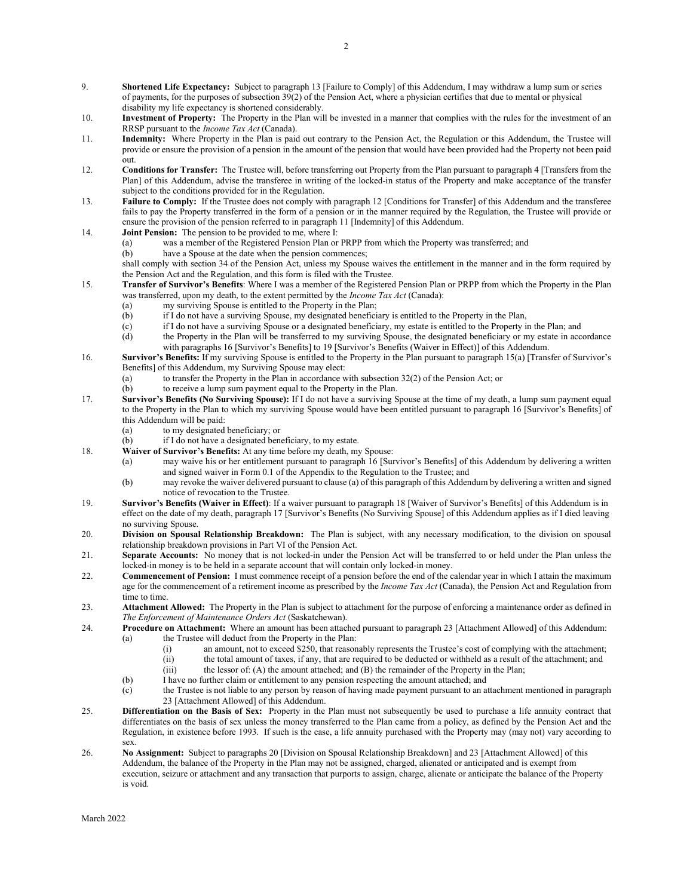- 9. **Shortened Life Expectancy:** Subject to paragraph 13 [Failure to Comply] of this Addendum, I may withdraw a lump sum or series of payments, for the purposes of subsection 39(2) of the Pension Act, where a physician certifies that due to mental or physical disability my life expectancy is shortened considerably.
- 10. **Investment of Property:** The Property in the Plan will be invested in a manner that complies with the rules for the investment of an RRSP pursuant to the *Income Tax Act* (Canada).
- 11. **Indemnity:** Where Property in the Plan is paid out contrary to the Pension Act, the Regulation or this Addendum, the Trustee will provide or ensure the provision of a pension in the amount of the pension that would have been provided had the Property not been paid out.
- 12. **Conditions for Transfer:** The Trustee will, before transferring out Property from the Plan pursuant to paragraph 4 [Transfers from the Plan] of this Addendum, advise the transferee in writing of the locked-in status of the Property and make acceptance of the transfer subject to the conditions provided for in the Regulation.
- 13. **Failure to Comply:** If the Trustee does not comply with paragraph 12 [Conditions for Transfer] of this Addendum and the transferee fails to pay the Property transferred in the form of a pension or in the manner required by the Regulation, the Trustee will provide or ensure the provision of the pension referred to in paragraph 11 [Indemnity] of this Addendum.
- 14. **Joint Pension:** The pension to be provided to me, where I:
	- (a) was a member of the Registered Pension Plan or PRPP from which the Property was transferred; and
	- (b) have a Spouse at the date when the pension commences;

shall comply with section 34 of the Pension Act, unless my Spouse waives the entitlement in the manner and in the form required by the Pension Act and the Regulation, and this form is filed with the Trustee.

- 15. **Transfer of Survivor's Benefits**: Where I was a member of the Registered Pension Plan or PRPP from which the Property in the Plan was transferred, upon my death, to the extent permitted by the *Income Tax Act* (Canada):
	- (a) my surviving Spouse is entitled to the Property in the Plan;<br>(b) if I do not have a surviving Spouse, my designated benefici
	- (b) if I do not have a surviving Spouse, my designated beneficiary is entitled to the Property in the Plan, (c) if I do not have a surviving Spouse or a designated beneficiary, my estate is entitled to the Property in
	- if I do not have a surviving Spouse or a designated beneficiary, my estate is entitled to the Property in the Plan; and
	- (d) the Property in the Plan will be transferred to my surviving Spouse, the designated beneficiary or my estate in accordance with paragraphs 16 [Survivor's Benefits] to 19 [Survivor's Benefits (Waiver in Effect)] of this Addendum.
- 16. **Survivor's Benefits:** If my surviving Spouse is entitled to the Property in the Plan pursuant to paragraph 15(a) [Transfer of Survivor's Benefits] of this Addendum, my Surviving Spouse may elect:
	- (a) to transfer the Property in the Plan in accordance with subsection 32(2) of the Pension Act; or
	- (b) to receive a lump sum payment equal to the Property in the Plan.
- 17. **Survivor's Benefits (No Surviving Spouse):** If I do not have a surviving Spouse at the time of my death, a lump sum payment equal to the Property in the Plan to which my surviving Spouse would have been entitled pursuant to paragraph 16 [Survivor's Benefits] of this Addendum will be paid:
	- (a) to my designated beneficiary; or
	- (b) if I do not have a designated beneficiary, to my estate.
- 18. **Waiver of Survivor's Benefits:** At any time before my death, my Spouse:
	- (a) may waive his or her entitlement pursuant to paragraph 16 [Survivor's Benefits] of this Addendum by delivering a written and signed waiver in Form 0.1 of the Appendix to the Regulation to the Trustee; and
	- (b) may revoke the waiver delivered pursuant to clause (a) of this paragraph of this Addendum by delivering a written and signed notice of revocation to the Trustee.
- 19. **Survivor's Benefits (Waiver in Effect)**: If a waiver pursuant to paragraph 18 [Waiver of Survivor's Benefits] of this Addendum is in effect on the date of my death, paragraph 17 [Survivor's Benefits (No Surviving Spouse] of this Addendum applies as if I died leaving no surviving Spouse.
- 20. **Division on Spousal Relationship Breakdown:** The Plan is subject, with any necessary modification, to the division on spousal relationship breakdown provisions in Part VI of the Pension Act.
- 21. **Separate Accounts:** No money that is not locked-in under the Pension Act will be transferred to or held under the Plan unless the locked-in money is to be held in a separate account that will contain only locked-in money.
- 22. **Commencement of Pension:** I must commence receipt of a pension before the end of the calendar year in which I attain the maximum age for the commencement of a retirement income as prescribed by the *Income Tax Act* (Canada), the Pension Act and Regulation from time to time.
- 23. **Attachment Allowed:** The Property in the Plan is subject to attachment for the purpose of enforcing a maintenance order as defined in *The Enforcement of Maintenance Orders Act* (Saskatchewan).
- 24. **Procedure on Attachment:** Where an amount has been attached pursuant to paragraph 23 [Attachment Allowed] of this Addendum: (a) the Trustee will deduct from the Property in the Plan:
	- (i) an amount, not to exceed \$250, that reasonably represents the Trustee's cost of complying with the attachment;
	- (ii) the total amount of taxes, if any, that are required to be deducted or withheld as a result of the attachment; and
	- (iii) the lessor of: (A) the amount attached; and (B) the remainder of the Property in the Plan;
	- (b) I have no further claim or entitlement to any pension respecting the amount attached; and (c) the Trustee is not liable to any person by reason of having made payment pursuant to an a
	- the Trustee is not liable to any person by reason of having made payment pursuant to an attachment mentioned in paragraph 23 [Attachment Allowed] of this Addendum.
- 25. **Differentiation on the Basis of Sex:** Property in the Plan must not subsequently be used to purchase a life annuity contract that differentiates on the basis of sex unless the money transferred to the Plan came from a policy, as defined by the Pension Act and the Regulation, in existence before 1993. If such is the case, a life annuity purchased with the Property may (may not) vary according to sex.
- 26. **No Assignment:** Subject to paragraphs 20 [Division on Spousal Relationship Breakdown] and 23 [Attachment Allowed] of this Addendum, the balance of the Property in the Plan may not be assigned, charged, alienated or anticipated and is exempt from execution, seizure or attachment and any transaction that purports to assign, charge, alienate or anticipate the balance of the Property is void.